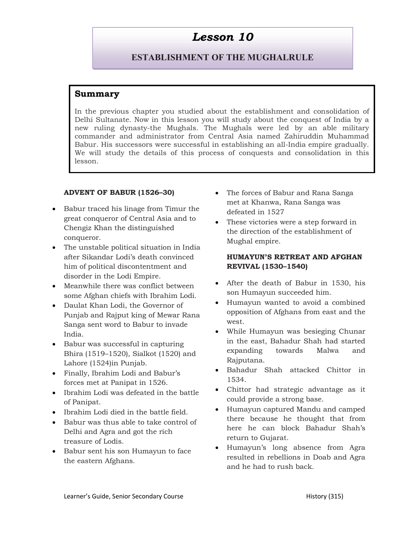## Lesson 10

# ESTABLISHMENT OF THE MUGHALRULE

## Summary

In the previous chapter you studied about the establishment and consolidation of Delhi Sultanate. Now in this lesson you will study about the conquest of India by a new ruling dynasty-the Mughals. The Mughals were led by an able military commander and administrator from Central Asia named Zahiruddin Muhammad Babur. His successors were successful in establishing an all-India empire gradually. We will study the details of this process of conquests and consolidation in this lesson.

#### ADVENT OF BABUR (1526–30)

- Babur traced his linage from Timur the great conqueror of Central Asia and to Chengiz Khan the distinguished conqueror.
- The unstable political situation in India after Sikandar Lodi's death convinced him of political discontentment and disorder in the Lodi Empire.
- Meanwhile there was conflict between some Afghan chiefs with Ibrahim Lodi.
- Daulat Khan Lodi, the Governor of Punjab and Rajput king of Mewar Rana Sanga sent word to Babur to invade India.
- Babur was successful in capturing Bhira (1519–1520), Sialkot (1520) and Lahore (1524)in Punjab.
- Finally, Ibrahim Lodi and Babur's forces met at Panipat in 1526.
- Ibrahim Lodi was defeated in the battle of Panipat.
- Ibrahim Lodi died in the battle field.
- Babur was thus able to take control of Delhi and Agra and got the rich treasure of Lodis.
- Babur sent his son Humayun to face the eastern Afghans.
- The forces of Babur and Rana Sanga met at Khanwa, Rana Sanga was defeated in 1527
- These victories were a step forward in the direction of the establishment of Mughal empire.

#### HUMAYUN'S RETREAT AND AFGHAN REVIVAL (1530–1540)

- After the death of Babur in 1530, his son Humayun succeeded him.
- Humayun wanted to avoid a combined opposition of Afghans from east and the west.
- While Humayun was besieging Chunar in the east, Bahadur Shah had started expanding towards Malwa and Rajputana.
- Bahadur Shah attacked Chittor in 1534.
- Chittor had strategic advantage as it could provide a strong base.
- Humayun captured Mandu and camped there because he thought that from here he can block Bahadur Shah's return to Gujarat.
- Humayun's long absence from Agra resulted in rebellions in Doab and Agra and he had to rush back.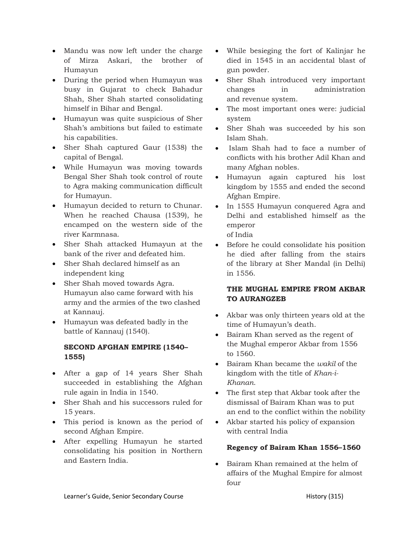- Mandu was now left under the charge of Mirza Askari, the brother of Humayun
- During the period when Humayun was busy in Gujarat to check Bahadur Shah, Sher Shah started consolidating himself in Bihar and Bengal.
- Humayun was quite suspicious of Sher Shah's ambitions but failed to estimate his capabilities.
- Sher Shah captured Gaur (1538) the capital of Bengal.
- While Humayun was moving towards Bengal Sher Shah took control of route to Agra making communication difficult for Humayun.
- Humayun decided to return to Chunar. When he reached Chausa (1539), he encamped on the western side of the river Karmnasa.
- Sher Shah attacked Humayun at the bank of the river and defeated him.
- Sher Shah declared himself as an independent king
- Sher Shah moved towards Agra. Humayun also came forward with his army and the armies of the two clashed at Kannauj.
- Humayun was defeated badly in the battle of Kannauj (1540).

#### SECOND AFGHAN EMPIRE (1540– 1555)

- After a gap of 14 years Sher Shah succeeded in establishing the Afghan rule again in India in 1540.
- Sher Shah and his successors ruled for 15 years.
- This period is known as the period of second Afghan Empire.
- After expelling Humayun he started consolidating his position in Northern and Eastern India.
- While besieging the fort of Kalinjar he died in 1545 in an accidental blast of gun powder.
- Sher Shah introduced very important changes in administration and revenue system.
- The most important ones were: judicial system
- Sher Shah was succeeded by his son Islam Shah.
- Islam Shah had to face a number of conflicts with his brother Adil Khan and many Afghan nobles.
- Humayun again captured his lost kingdom by 1555 and ended the second Afghan Empire.
- In 1555 Humayun conquered Agra and Delhi and established himself as the emperor of India
- Before he could consolidate his position
- he died after falling from the stairs of the library at Sher Mandal (in Delhi) in 1556.

## THE MUGHAL EMPIRE FROM AKBAR TO AURANGZEB

- Akbar was only thirteen years old at the time of Humayun's death.
- Bairam Khan served as the regent of the Mughal emperor Akbar from 1556 to 1560.
- $\bullet$  Bairam Khan became the *wakil* of the kingdom with the title of Khan-i-Khanan.
- The first step that Akbar took after the dismissal of Bairam Khan was to put an end to the conflict within the nobility
- Akbar started his policy of expansion with central India

#### Regency of Bairam Khan 1556–1560

 Bairam Khan remained at the helm of affairs of the Mughal Empire for almost four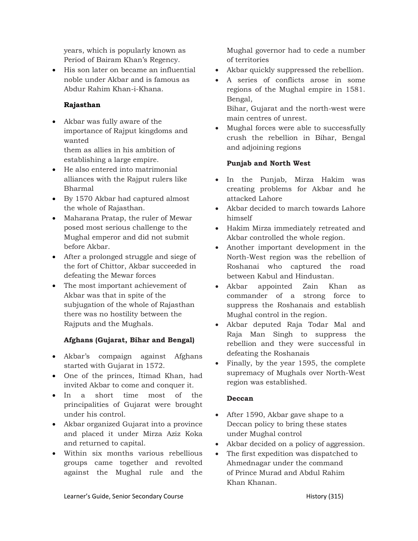years, which is popularly known as Period of Bairam Khan's Regency.

• His son later on became an influential noble under Akbar and is famous as Abdur Rahim Khan-i-Khana.

## Rajasthan

- Akbar was fully aware of the importance of Rajput kingdoms and wanted them as allies in his ambition of establishing a large empire.
- He also entered into matrimonial alliances with the Rajput rulers like Bharmal
- By 1570 Akbar had captured almost the whole of Rajasthan.
- Maharana Pratap, the ruler of Mewar posed most serious challenge to the Mughal emperor and did not submit before Akbar.
- After a prolonged struggle and siege of the fort of Chittor, Akbar succeeded in defeating the Mewar forces
- The most important achievement of Akbar was that in spite of the subjugation of the whole of Rajasthan there was no hostility between the Rajputs and the Mughals.

## Afghans (Gujarat, Bihar and Bengal)

- Akbar's compaign against Afghans started with Gujarat in 1572.
- One of the princes, Itimad Khan, had invited Akbar to come and conquer it.
- In a short time most of the principalities of Gujarat were brought under his control.
- Akbar organized Gujarat into a province and placed it under Mirza Aziz Koka and returned to capital.
- Within six months various rebellious groups came together and revolted against the Mughal rule and the

Mughal governor had to cede a number of territories

- Akbar quickly suppressed the rebellion.
- A series of conflicts arose in some regions of the Mughal empire in 1581. Bengal,

Bihar, Gujarat and the north-west were main centres of unrest.

 Mughal forces were able to successfully crush the rebellion in Bihar, Bengal and adjoining regions

## Punjab and North West

- In the Punjab, Mirza Hakim was creating problems for Akbar and he attacked Lahore
- Akbar decided to march towards Lahore himself
- Hakim Mirza immediately retreated and Akbar controlled the whole region.
- Another important development in the North-West region was the rebellion of Roshanai who captured the road between Kabul and Hindustan.
- Akbar appointed Zain Khan as commander of a strong force to suppress the Roshanais and establish Mughal control in the region.
- Akbar deputed Raja Todar Mal and Raja Man Singh to suppress the rebellion and they were successful in defeating the Roshanais
- Finally, by the year 1595, the complete supremacy of Mughals over North-West region was established.

#### Deccan

- After 1590, Akbar gave shape to a Deccan policy to bring these states under Mughal control
- Akbar decided on a policy of aggression.
- The first expedition was dispatched to Ahmednagar under the command of Prince Murad and Abdul Rahim Khan Khanan.